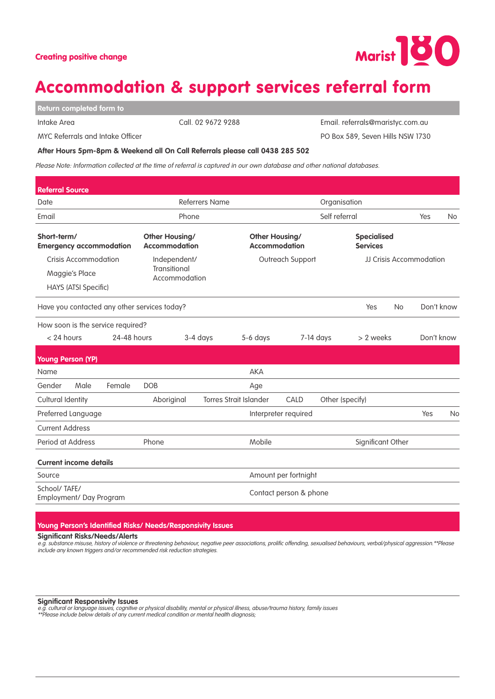## Accommodation & support services referral form

**Return completed form to** 

MYC Referrals and Intake Officer

Intake Area 2008 2010 10:00 Call. 02 9672 9288

Email. referrals@maristyc.com.au PO Box 589, Seven Hills NSW 1730

**After Hours 5pm-8pm & Weekend all On Call Referrals please call 0438 285 502**

Please Note: Information collected at the time of referral is captured in our own database and other national databases.

| <b>Referral Source</b>                        |                             |                                               |                                               |                      |                                               |                        |                                       |                   |                         |            |           |  |
|-----------------------------------------------|-----------------------------|-----------------------------------------------|-----------------------------------------------|----------------------|-----------------------------------------------|------------------------|---------------------------------------|-------------------|-------------------------|------------|-----------|--|
| Date                                          |                             |                                               | <b>Referrers Name</b>                         |                      |                                               | Organisation           |                                       |                   |                         |            |           |  |
| Email                                         |                             |                                               |                                               | Phone                |                                               |                        | Self referral                         |                   |                         | Yes        | <b>No</b> |  |
| Short-term/<br><b>Emergency accommodation</b> |                             | <b>Other Housing/</b><br><b>Accommodation</b> |                                               |                      | <b>Other Housing/</b><br><b>Accommodation</b> |                        | <b>Specialised</b><br><b>Services</b> |                   |                         |            |           |  |
|                                               | Crisis Accommodation        |                                               | Independent/<br>Transitional<br>Accommodation |                      |                                               | Outreach Support       |                                       |                   | JJ Crisis Accommodation |            |           |  |
|                                               | Maggie's Place              |                                               |                                               |                      |                                               |                        |                                       |                   |                         |            |           |  |
|                                               | <b>HAYS (ATSI Specific)</b> |                                               |                                               |                      |                                               |                        |                                       |                   |                         |            |           |  |
|                                               |                             |                                               | Have you contacted any other services today?  |                      |                                               |                        |                                       | Yes               | <b>No</b>               | Don't know |           |  |
|                                               |                             | How soon is the service required?             |                                               |                      |                                               |                        |                                       |                   |                         |            |           |  |
| $< 24$ hours                                  |                             | 24-48 hours                                   |                                               | 3-4 days             | 5-6 days                                      |                        | $7-14$ days                           | > 2 weeks         |                         | Don't know |           |  |
| <b>Young Person (YP)</b>                      |                             |                                               |                                               |                      |                                               |                        |                                       |                   |                         |            |           |  |
| Name                                          |                             |                                               |                                               |                      | <b>AKA</b>                                    |                        |                                       |                   |                         |            |           |  |
| Gender                                        | Male                        | Female                                        | <b>DOB</b>                                    |                      | Age                                           |                        |                                       |                   |                         |            |           |  |
| Cultural Identity                             |                             |                                               | Aboriginal                                    |                      | <b>Torres Strait Islander</b>                 | CALD                   |                                       | Other (specify)   |                         |            |           |  |
| Preferred Language                            |                             |                                               |                                               |                      |                                               | Interpreter required   |                                       |                   |                         | Yes        | <b>No</b> |  |
| <b>Current Address</b>                        |                             |                                               |                                               |                      |                                               |                        |                                       |                   |                         |            |           |  |
| Period at Address                             |                             |                                               | Phone                                         |                      | Mobile                                        |                        |                                       | Significant Other |                         |            |           |  |
| <b>Current income details</b>                 |                             |                                               |                                               |                      |                                               |                        |                                       |                   |                         |            |           |  |
| Source                                        |                             |                                               |                                               | Amount per fortnight |                                               |                        |                                       |                   |                         |            |           |  |
| School/TAFE/<br>Employment/ Day Program       |                             |                                               |                                               |                      |                                               | Contact person & phone |                                       |                   |                         |            |           |  |

**Young Person's Identified Risks/ Needs/Responsivity Issues**

**Significant Risks/Needs/Alerts** 

e.g. substance misuse, history of violence or threatening behaviour, negative peer associations, prolific offending, sexualised behaviours, verbal/physical aggression.\*\*Please include any known triggers and/or recommended risk reduction strategies.

**Significant Responsivity Issues** 

e.g. cultural or language issues, cognitive or physical disability, mental or physical illness, abuse/trauma history, family issues<br>\*\*Please include below details of any current medical condition or mental health diagnosis